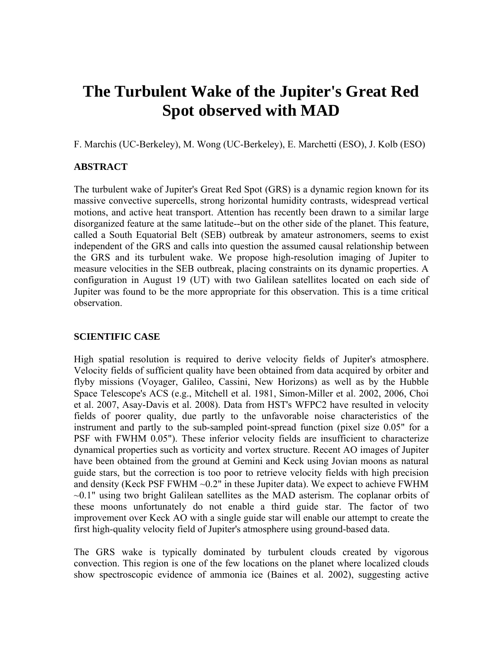# **The Turbulent Wake of the Jupiter's Great Red Spot observed with MAD**

F. Marchis (UC-Berkeley), M. Wong (UC-Berkeley), E. Marchetti (ESO), J. Kolb (ESO)

## **ABSTRACT**

The turbulent wake of Jupiter's Great Red Spot (GRS) is a dynamic region known for its massive convective supercells, strong horizontal humidity contrasts, widespread vertical motions, and active heat transport. Attention has recently been drawn to a similar large disorganized feature at the same latitude--but on the other side of the planet. This feature, called a South Equatorial Belt (SEB) outbreak by amateur astronomers, seems to exist independent of the GRS and calls into question the assumed causal relationship between the GRS and its turbulent wake. We propose high-resolution imaging of Jupiter to measure velocities in the SEB outbreak, placing constraints on its dynamic properties. A configuration in August 19 (UT) with two Galilean satellites located on each side of Jupiter was found to be the more appropriate for this observation. This is a time critical observation.

#### **SCIENTIFIC CASE**

High spatial resolution is required to derive velocity fields of Jupiter's atmosphere. Velocity fields of sufficient quality have been obtained from data acquired by orbiter and flyby missions (Voyager, Galileo, Cassini, New Horizons) as well as by the Hubble Space Telescope's ACS (e.g., Mitchell et al. 1981, Simon-Miller et al. 2002, 2006, Choi et al. 2007, Asay-Davis et al. 2008). Data from HST's WFPC2 have resulted in velocity fields of poorer quality, due partly to the unfavorable noise characteristics of the instrument and partly to the sub-sampled point-spread function (pixel size 0.05" for a PSF with FWHM 0.05"). These inferior velocity fields are insufficient to characterize dynamical properties such as vorticity and vortex structure. Recent AO images of Jupiter have been obtained from the ground at Gemini and Keck using Jovian moons as natural guide stars, but the correction is too poor to retrieve velocity fields with high precision and density (Keck PSF FWHM  $\sim 0.2$ " in these Jupiter data). We expect to achieve FWHM  $\sim 0.1$ " using two bright Galilean satellites as the MAD asterism. The coplanar orbits of these moons unfortunately do not enable a third guide star. The factor of two improvement over Keck AO with a single guide star will enable our attempt to create the first high-quality velocity field of Jupiter's atmosphere using ground-based data.

The GRS wake is typically dominated by turbulent clouds created by vigorous convection. This region is one of the few locations on the planet where localized clouds show spectroscopic evidence of ammonia ice (Baines et al. 2002), suggesting active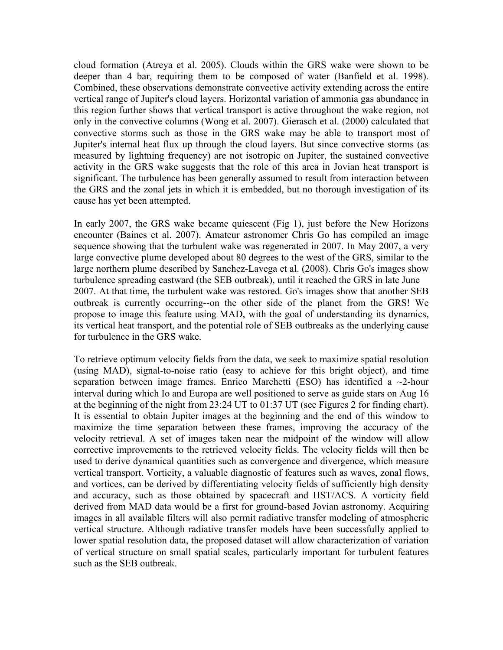cloud formation (Atreya et al. 2005). Clouds within the GRS wake were shown to be deeper than 4 bar, requiring them to be composed of water (Banfield et al. 1998). Combined, these observations demonstrate convective activity extending across the entire vertical range of Jupiter's cloud layers. Horizontal variation of ammonia gas abundance in this region further shows that vertical transport is active throughout the wake region, not only in the convective columns (Wong et al. 2007). Gierasch et al. (2000) calculated that convective storms such as those in the GRS wake may be able to transport most of Jupiter's internal heat flux up through the cloud layers. But since convective storms (as measured by lightning frequency) are not isotropic on Jupiter, the sustained convective activity in the GRS wake suggests that the role of this area in Jovian heat transport is significant. The turbulence has been generally assumed to result from interaction between the GRS and the zonal jets in which it is embedded, but no thorough investigation of its cause has yet been attempted.

In early 2007, the GRS wake became quiescent (Fig 1), just before the New Horizons encounter (Baines et al. 2007). Amateur astronomer Chris Go has compiled an image sequence showing that the turbulent wake was regenerated in 2007. In May 2007, a very large convective plume developed about 80 degrees to the west of the GRS, similar to the large northern plume described by Sanchez-Lavega et al. (2008). Chris Go's images show turbulence spreading eastward (the SEB outbreak), until it reached the GRS in late June 2007. At that time, the turbulent wake was restored. Go's images show that another SEB outbreak is currently occurring--on the other side of the planet from the GRS! We propose to image this feature using MAD, with the goal of understanding its dynamics, its vertical heat transport, and the potential role of SEB outbreaks as the underlying cause for turbulence in the GRS wake.

To retrieve optimum velocity fields from the data, we seek to maximize spatial resolution (using MAD), signal-to-noise ratio (easy to achieve for this bright object), and time separation between image frames. Enrico Marchetti (ESO) has identified a  $\sim$ 2-hour interval during which Io and Europa are well positioned to serve as guide stars on Aug 16 at the beginning of the night from 23:24 UT to 01:37 UT (see Figures 2 for finding chart). It is essential to obtain Jupiter images at the beginning and the end of this window to maximize the time separation between these frames, improving the accuracy of the velocity retrieval. A set of images taken near the midpoint of the window will allow corrective improvements to the retrieved velocity fields. The velocity fields will then be used to derive dynamical quantities such as convergence and divergence, which measure vertical transport. Vorticity, a valuable diagnostic of features such as waves, zonal flows, and vortices, can be derived by differentiating velocity fields of sufficiently high density and accuracy, such as those obtained by spacecraft and HST/ACS. A vorticity field derived from MAD data would be a first for ground-based Jovian astronomy. Acquiring images in all available filters will also permit radiative transfer modeling of atmospheric vertical structure. Although radiative transfer models have been successfully applied to lower spatial resolution data, the proposed dataset will allow characterization of variation of vertical structure on small spatial scales, particularly important for turbulent features such as the SEB outbreak.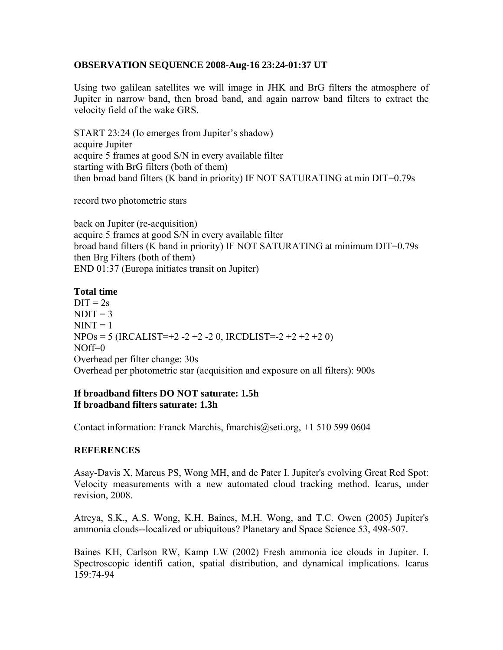### **OBSERVATION SEQUENCE 2008-Aug-16 23:24-01:37 UT**

Using two galilean satellites we will image in JHK and BrG filters the atmosphere of Jupiter in narrow band, then broad band, and again narrow band filters to extract the velocity field of the wake GRS.

START 23:24 (Io emerges from Jupiter's shadow) acquire Jupiter acquire 5 frames at good S/N in every available filter starting with BrG filters (both of them) then broad band filters (K band in priority) IF NOT SATURATING at min DIT=0.79s

record two photometric stars

back on Jupiter (re-acquisition) acquire 5 frames at good S/N in every available filter broad band filters (K band in priority) IF NOT SATURATING at minimum DIT=0.79s then Brg Filters (both of them) END 01:37 (Europa initiates transit on Jupiter)

## **Total time**

 $DIT = 2s$  $NDIT = 3$  $NINT = 1$  $NPOs = 5 (IRCALIST=+2 -2 +2 -2 0, IRCDLIST=2 +2 +2 +2 0)$  $NOff=0$ Overhead per filter change: 30s Overhead per photometric star (acquisition and exposure on all filters): 900s

## **If broadband filters DO NOT saturate: 1.5h If broadband filters saturate: 1.3h**

Contact information: Franck Marchis, fmarchis@seti.org, +1 510 599 0604

## **REFERENCES**

Asay-Davis X, Marcus PS, Wong MH, and de Pater I. Jupiter's evolving Great Red Spot: Velocity measurements with a new automated cloud tracking method. Icarus, under revision, 2008.

Atreya, S.K., A.S. Wong, K.H. Baines, M.H. Wong, and T.C. Owen (2005) Jupiter's ammonia clouds--localized or ubiquitous? Planetary and Space Science 53, 498-507.

Baines KH, Carlson RW, Kamp LW (2002) Fresh ammonia ice clouds in Jupiter. I. Spectroscopic identifi cation, spatial distribution, and dynamical implications. Icarus 159:74-94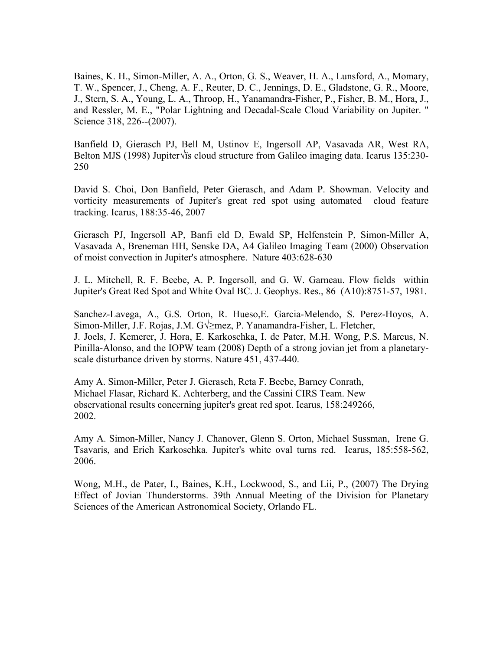Baines, K. H., Simon-Miller, A. A., Orton, G. S., Weaver, H. A., Lunsford, A., Momary, T. W., Spencer, J., Cheng, A. F., Reuter, D. C., Jennings, D. E., Gladstone, G. R., Moore, J., Stern, S. A., Young, L. A., Throop, H., Yanamandra-Fisher, P., Fisher, B. M., Hora, J., and Ressler, M. E., "Polar Lightning and Decadal-Scale Cloud Variability on Jupiter. " Science 318, 226--(2007).

Banfield D, Gierasch PJ, Bell M, Ustinov E, Ingersoll AP, Vasavada AR, West RA, Belton MJS (1998) Jupiter√ïs cloud structure from Galileo imaging data. Icarus 135:230- 250

David S. Choi, Don Banfield, Peter Gierasch, and Adam P. Showman. Velocity and vorticity measurements of Jupiter's great red spot using automated cloud feature tracking. Icarus, 188:35-46, 2007

Gierasch PJ, Ingersoll AP, Banfi eld D, Ewald SP, Helfenstein P, Simon-Miller A, Vasavada A, Breneman HH, Senske DA, A4 Galileo Imaging Team (2000) Observation of moist convection in Jupiter's atmosphere. Nature 403:628-630

J. L. Mitchell, R. F. Beebe, A. P. Ingersoll, and G. W. Garneau. Flow fields within Jupiter's Great Red Spot and White Oval BC. J. Geophys. Res., 86 (A10):8751-57, 1981.

Sanchez-Lavega, A., G.S. Orton, R. Hueso,E. Garcia-Melendo, S. Perez-Hoyos, A. Simon-Miller, J.F. Rojas, J.M. G $\sqrt{\geq}$ mez, P. Yanamandra-Fisher, L. Fletcher, J. Joels, J. Kemerer, J. Hora, E. Karkoschka, I. de Pater, M.H. Wong, P.S. Marcus, N. Pinilla-Alonso, and the IOPW team (2008) Depth of a strong jovian jet from a planetaryscale disturbance driven by storms. Nature 451, 437-440.

Amy A. Simon-Miller, Peter J. Gierasch, Reta F. Beebe, Barney Conrath, Michael Flasar, Richard K. Achterberg, and the Cassini CIRS Team. New observational results concerning jupiter's great red spot. Icarus, 158:249266, 2002.

Amy A. Simon-Miller, Nancy J. Chanover, Glenn S. Orton, Michael Sussman, Irene G. Tsavaris, and Erich Karkoschka. Jupiter's white oval turns red. Icarus, 185:558-562, 2006.

Wong, M.H., de Pater, I., Baines, K.H., Lockwood, S., and Lii, P., (2007) The Drying Effect of Jovian Thunderstorms. 39th Annual Meeting of the Division for Planetary Sciences of the American Astronomical Society, Orlando FL.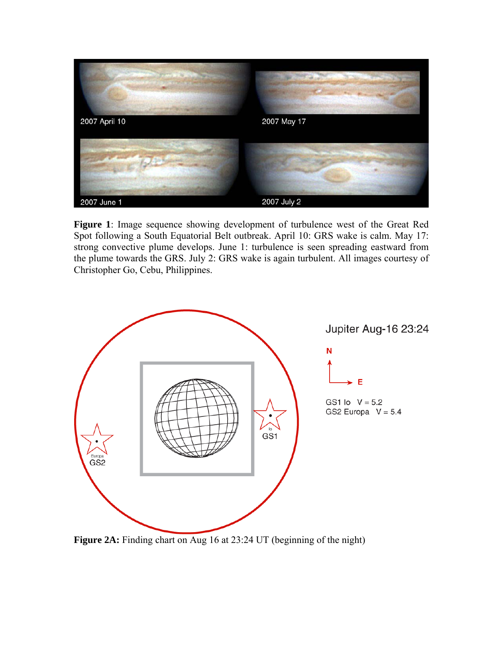

**Figure 1**: Image sequence showing development of turbulence west of the Great Red Spot following a South Equatorial Belt outbreak. April 10: GRS wake is calm. May 17: strong convective plume develops. June 1: turbulence is seen spreading eastward from the plume towards the GRS. July 2: GRS wake is again turbulent. All images courtesy of Christopher Go, Cebu, Philippines.



Figure 2A: Finding chart on Aug 16 at 23:24 UT (beginning of the night)